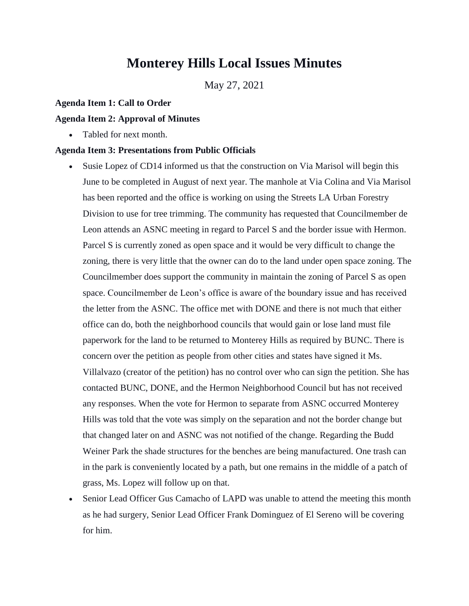# **Monterey Hills Local Issues Minutes**

May 27, 2021

### **Agenda Item 1: Call to Order**

#### **Agenda Item 2: Approval of Minutes**

• Tabled for next month.

#### **Agenda Item 3: Presentations from Public Officials**

- Susie Lopez of CD14 informed us that the construction on Via Marisol will begin this June to be completed in August of next year. The manhole at Via Colina and Via Marisol has been reported and the office is working on using the Streets LA Urban Forestry Division to use for tree trimming. The community has requested that Councilmember de Leon attends an ASNC meeting in regard to Parcel S and the border issue with Hermon. Parcel S is currently zoned as open space and it would be very difficult to change the zoning, there is very little that the owner can do to the land under open space zoning. The Councilmember does support the community in maintain the zoning of Parcel S as open space. Councilmember de Leon's office is aware of the boundary issue and has received the letter from the ASNC. The office met with DONE and there is not much that either office can do, both the neighborhood councils that would gain or lose land must file paperwork for the land to be returned to Monterey Hills as required by BUNC. There is concern over the petition as people from other cities and states have signed it Ms. Villalvazo (creator of the petition) has no control over who can sign the petition. She has contacted BUNC, DONE, and the Hermon Neighborhood Council but has not received any responses. When the vote for Hermon to separate from ASNC occurred Monterey Hills was told that the vote was simply on the separation and not the border change but that changed later on and ASNC was not notified of the change. Regarding the Budd Weiner Park the shade structures for the benches are being manufactured. One trash can in the park is conveniently located by a path, but one remains in the middle of a patch of grass, Ms. Lopez will follow up on that.
- Senior Lead Officer Gus Camacho of LAPD was unable to attend the meeting this month as he had surgery, Senior Lead Officer Frank Dominguez of El Sereno will be covering for him.